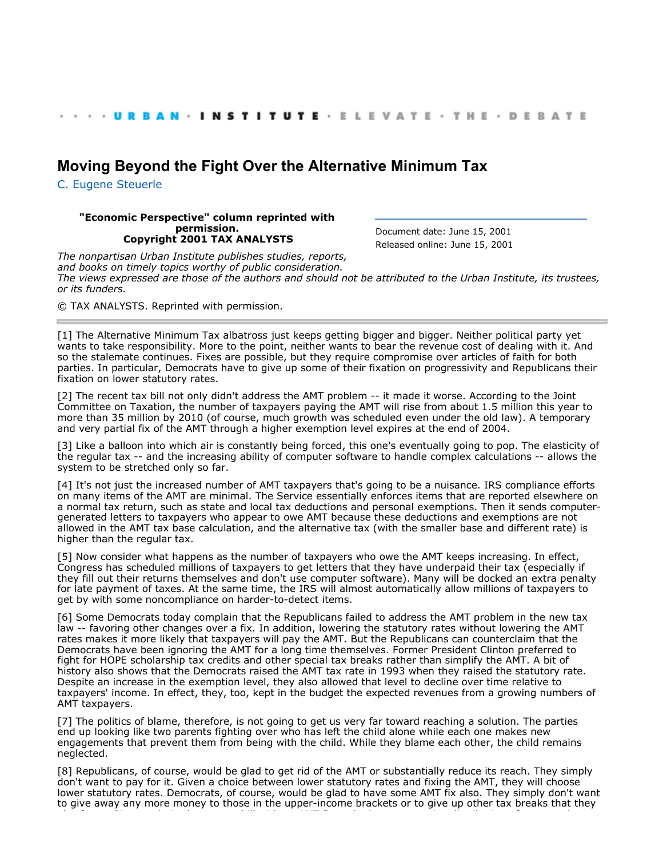## **[Moving Beyond the Fight Over the Alternative Minimum Tax](http://webarchive.urban.org/index.cfm)**

[C. Eugene Steuerle](http://www.urban.org/CEugeneSteuerle)

## **"Economic Perspective" column reprinted with permission. Copyright 2001 TAX ANALYSTS**

Document date: June 15, 2001 Released online: June 15, 2001

*The nonpartisan Urban Institute publishes studies, reports, and books on timely topics worthy of public consideration. The views expressed are those of the authors and should not be attributed to the Urban Institute, its trustees, or its funders.*

© TAX ANALYSTS. Reprinted with permission.

[1] The Alternative Minimum Tax albatross just keeps getting bigger and bigger. Neither political party yet wants to take responsibility. More to the point, neither wants to bear the revenue cost of dealing with it. And so the stalemate continues. Fixes are possible, but they require compromise over articles of faith for both parties. In particular, Democrats have to give up some of their fixation on progressivity and Republicans their fixation on lower statutory rates.

[2] The recent tax bill not only didn't address the AMT problem -- it made it worse. According to the Joint Committee on Taxation, the number of taxpayers paying the AMT will rise from about 1.5 million this year to more than 35 million by 2010 (of course, much growth was scheduled even under the old law). A temporary and very partial fix of the AMT through a higher exemption level expires at the end of 2004.

[3] Like a balloon into which air is constantly being forced, this one's eventually going to pop. The elasticity of the regular tax -- and the increasing ability of computer software to handle complex calculations -- allows the system to be stretched only so far.

[4] It's not just the increased number of AMT taxpayers that's going to be a nuisance. IRS compliance efforts on many items of the AMT are minimal. The Service essentially enforces items that are reported elsewhere on a normal tax return, such as state and local tax deductions and personal exemptions. Then it sends computergenerated letters to taxpayers who appear to owe AMT because these deductions and exemptions are not allowed in the AMT tax base calculation, and the alternative tax (with the smaller base and different rate) is higher than the regular tax.

[5] Now consider what happens as the number of taxpayers who owe the AMT keeps increasing. In effect, Congress has scheduled millions of taxpayers to get letters that they have underpaid their tax (especially if they fill out their returns themselves and don't use computer software). Many will be docked an extra penalty for late payment of taxes. At the same time, the IRS will almost automatically allow millions of taxpayers to get by with some noncompliance on harder-to-detect items.

[6] Some Democrats today complain that the Republicans failed to address the AMT problem in the new tax law -- favoring other changes over a fix. In addition, lowering the statutory rates without lowering the AMT rates makes it more likely that taxpayers will pay the AMT. But the Republicans can counterclaim that the Democrats have been ignoring the AMT for a long time themselves. Former President Clinton preferred to fight for HOPE scholarship tax credits and other special tax breaks rather than simplify the AMT. A bit of history also shows that the Democrats raised the AMT tax rate in 1993 when they raised the statutory rate. Despite an increase in the exemption level, they also allowed that level to decline over time relative to taxpayers' income. In effect, they, too, kept in the budget the expected revenues from a growing numbers of AMT taxpayers.

[7] The politics of blame, therefore, is not going to get us very far toward reaching a solution. The parties end up looking like two parents fighting over who has left the child alone while each one makes new engagements that prevent them from being with the child. While they blame each other, the child remains neglected.

[8] Republicans, of course, would be glad to get rid of the AMT or substantially reduce its reach. They simply don't want to pay for it. Given a choice between lower statutory rates and fixing the AMT, they will choose lower statutory rates. Democrats, of course, would be glad to have some AMT fix also. They simply don't want to give away any more money to those in the upper-income brackets or to give up other tax breaks that they

also favor. Given a choice between a bill with an AMT fix and a less progressive distribution of taxes and one